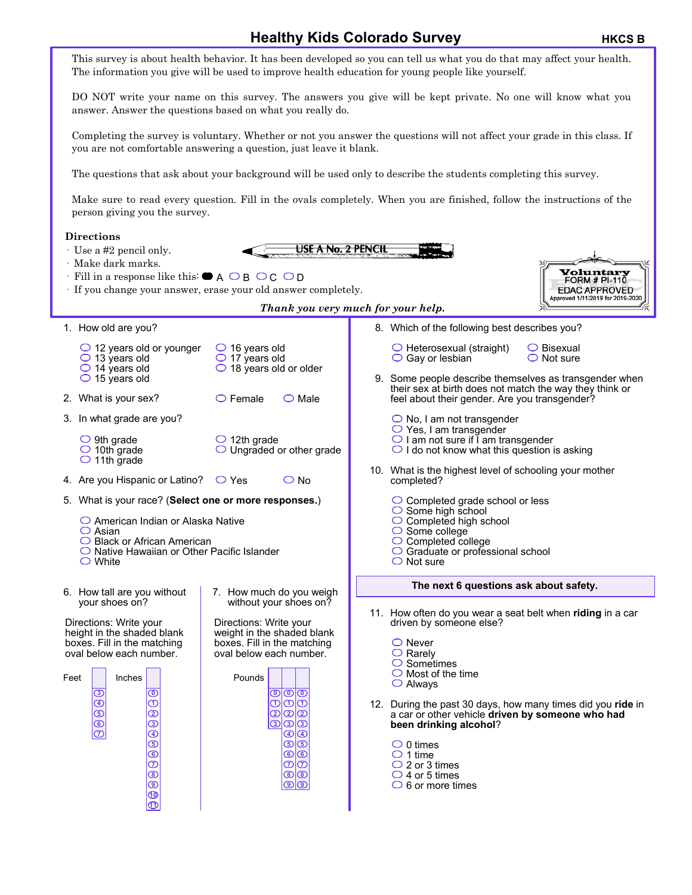## **Healthy Kids Colorado Survey HEGGING BY ARKCS B**

This survey is about health behavior. It has been developed so you can tell us what you do that may affect your health. The information you give will be used to improve health education for young people like yourself. DO NOT write your name on this survey. The answers you give will be kept private. No one will know what you answer. Answer the questions based on what you really do. Completing the survey is voluntary. Whether or not you answer the questions will not affect your grade in this class. If you are not comfortable answering a question, just leave it blank. The questions that ask about your background will be used only to describe the students completing this survey. Make sure to read every question. Fill in the ovals completely. When you are finished, follow the instructions of the person giving you the survey. **Directions** USE A No. 2 PENCIL · Use a #2 pencil only. · Make dark marks. **Yoluntary**<br>FORM # PI-110  $\cdot$  Fill in a response like this:  $\bullet$  A  $\circ$  B  $\circ$  C  $\circ$  D **EDAC APPROVED** · If you change your answer, erase your old answer completely. Approved 1/11/2019 for 2019-2020 *Thank you very much for your help.* 1. How old are you? 8. Which of the following best describes you?  $\bigcirc$  12 years old or younger  $\bigcirc$  16 years old  $\bigcirc$  Heterosexual (straight) Bisexual  $\bigcirc$  17 years old  $\circ$  13 years old  $\bigcirc$  Gay or lesbian  $\bigcirc$  Not sure 14 years old  $\overline{\bigcirc}$  18 years old or older  $\bigcirc$  15 years old 9. Some people describe themselves as transgender when their sex at birth does not match the way they think or 2. What is your sex?  $\bigcirc$  Female  $\bigcirc$  Male feel about their gender. Are you transgender? 3. In what grade are you?  $\bigcirc$  No, I am not transgender Yes, I am transgender  $\bigcirc$  I am not sure if I am transgender  $\bigcirc$  9th grade  $\bigcirc$  12th grade  $\bigcirc$  I do not know what this question is asking  $\bigcirc$  10th grade  $\bigcirc$  Ungraded or other grade  $\bigcirc$  11th grade 10. What is the highest level of schooling your mother 4. Are you Hispanic or Latino?  $\bigcirc$  Yes  $\bigcirc$  No completed? 5. What is your race? (**Select one or more responses.**)  $\bigcirc$  Completed grade school or less  $\bigcirc$  Some high school ◯ American Indian or Alaska Native  $\bigcirc$  Completed high school  $\bigcirc$  Some college  $\circ$  Asian O Black or African American C Completed college  $\bigcirc$  Native Hawaiian or Other Pacific Islander  $\bigcirc$  Graduate or professional school White  $\bigcirc$  Not sure **The next 6 questions ask about safety.** 6. How tall are you without 7. How much do you weigh your shoes on? without your shoes on? 11. How often do you wear a seat belt when **riding** in a car Directions: Write your Directions: Write your driven by someone else? height in the shaded blank weight in the shaded blank boxes. Fill in the matching boxes. Fill in the matching ◯ Never  $\bigcirc$  Rarely oval below each number. oval below each number.  $\circ$  Sometimes  $\bigcirc$  Most of the time Feet Inches Pounds Always **0 3 0 0 0 1** 12. During the past 30 days, how many times did you **ride** in **4 1 1 1 2** a car or other vehicle **driven by someone who had 5 2 2 2 3 been drinking alcohol**? **6 3 3 3 4 4 4 7 5**  $\bigcirc$  0 times **5 5 6**  $\bigcirc$  1 time **6 6**  $\bar{\bm{\sigma}}$  $\bigcirc$  2 or 3 times **7 7 8**  $\bigcirc$  4 or 5 times **8 8 9**  $\bigcirc$  6 or more times **9 9 10 11**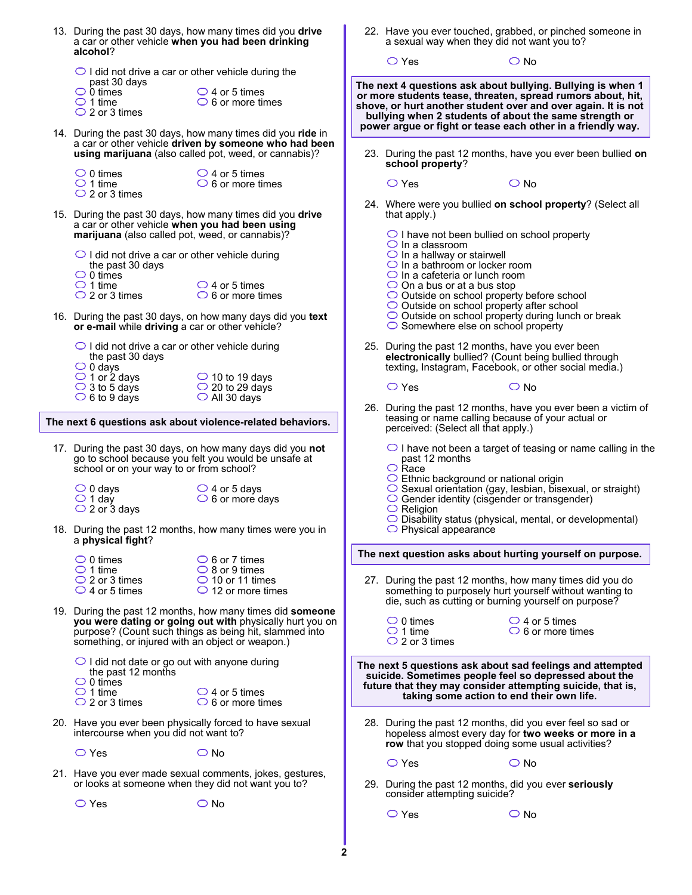| alcohol?                                                                                                                                                       | 13. During the past 30 days, how many times did you drive<br>a car or other vehicle when you had been drinking                                                                | 22. Have you ever touched, grabbed, or pinched someone in<br>a sexual way when they did not want you to? |                                                                                                                                                                  |                                                                                                                                                                                                                                                       |  |  |  |  |  |  |
|----------------------------------------------------------------------------------------------------------------------------------------------------------------|-------------------------------------------------------------------------------------------------------------------------------------------------------------------------------|----------------------------------------------------------------------------------------------------------|------------------------------------------------------------------------------------------------------------------------------------------------------------------|-------------------------------------------------------------------------------------------------------------------------------------------------------------------------------------------------------------------------------------------------------|--|--|--|--|--|--|
| $\bigcirc$ I did not drive a car or other vehicle during the<br>past 30 days                                                                                   |                                                                                                                                                                               |                                                                                                          | $\bigcirc$ Yes                                                                                                                                                   | $\bigcirc$ No                                                                                                                                                                                                                                         |  |  |  |  |  |  |
| $\bigcirc$ 0 times<br>$\bigcirc$ 1 time<br>$\bigcirc$ 2 or 3 times                                                                                             | $\bigcirc$ 4 or 5 times<br>$\bigcirc$ 6 or more times                                                                                                                         |                                                                                                          |                                                                                                                                                                  | The next 4 questions ask about bullying. Bullying is when 1<br>or more students tease, threaten, spread rumors about, hit,<br>shove, or hurt another student over and over again. It is not<br>bullying when 2 students of about the same strength or |  |  |  |  |  |  |
|                                                                                                                                                                | 14. During the past 30 days, how many times did you ride in<br>a car or other vehicle driven by someone who had been<br>using marijuana (also called pot, weed, or cannabis)? |                                                                                                          | school property?                                                                                                                                                 | power argue or fight or tease each other in a friendly way.<br>23. During the past 12 months, have you ever been bullied on                                                                                                                           |  |  |  |  |  |  |
| $\bigcirc$ 0 times<br>$\bigcirc$ 1 time<br>$\bigcirc$ 2 or 3 times                                                                                             | $\bigcirc$ 4 or 5 times<br>$\bigcirc$ 6 or more times                                                                                                                         |                                                                                                          | $\bigcirc$ Yes                                                                                                                                                   | $\bigcirc$ No                                                                                                                                                                                                                                         |  |  |  |  |  |  |
| 15. During the past 30 days, how many times did you drive<br>a car or other vehicle when you had been using<br>marijuana (also called pot, weed, or cannabis)? |                                                                                                                                                                               |                                                                                                          | 24. Where were you bullied on school property? (Select all<br>that apply.)<br>$\bigcirc$ I have not been bullied on school property<br>$\bigcirc$ In a classroom |                                                                                                                                                                                                                                                       |  |  |  |  |  |  |
| $\bigcirc$ I did not drive a car or other vehicle during<br>the past 30 days<br>$\bigcirc$ 0 times                                                             |                                                                                                                                                                               |                                                                                                          | $\bigcirc$ In a hallway or stairwell<br>$\bigcirc$ In a bathroom or locker room<br>$\bigcirc$ In a cafeteria or lunch room                                       |                                                                                                                                                                                                                                                       |  |  |  |  |  |  |
| $\bigcirc$ 1 time<br>$\bigcirc$ 2 or 3 times                                                                                                                   | $\bigcirc$ 4 or 5 times<br>$\circ$ 6 or more times                                                                                                                            |                                                                                                          | $\bigcirc$ On a bus or at a bus stop<br>◯ Outside on school property before school<br>$\bigcirc$ Outside on school property after school                         |                                                                                                                                                                                                                                                       |  |  |  |  |  |  |
| or e-mail while driving a car or other vehicle?                                                                                                                | 16. During the past 30 days, on how many days did you text                                                                                                                    |                                                                                                          | $\circ$ Somewhere else on school property                                                                                                                        | $\circ$ Outside on school property during lunch or break                                                                                                                                                                                              |  |  |  |  |  |  |
| $\bigcirc$ I did not drive a car or other vehicle during<br>the past 30 days<br>$\bigcirc$ 0 days<br>$\bigcirc$ 1 or 2 days                                    | $\bigcirc$ 10 to 19 days                                                                                                                                                      |                                                                                                          | 25. During the past 12 months, have you ever been                                                                                                                | electronically bullied? (Count being bullied through<br>texting, Instagram, Facebook, or other social media.)                                                                                                                                         |  |  |  |  |  |  |
| $\bigcirc$ 3 to 5 days<br>$\bigcirc$ 6 to 9 days                                                                                                               | $\bigcirc$ 20 to 29 days<br>$\bigcirc$ All 30 days                                                                                                                            |                                                                                                          | $\bigcirc$ Yes                                                                                                                                                   | $\bigcirc$ No<br>26. During the past 12 months, have you ever been a victim of                                                                                                                                                                        |  |  |  |  |  |  |
|                                                                                                                                                                | The next 6 questions ask about violence-related behaviors.                                                                                                                    |                                                                                                          | perceived: (Select all that apply.)                                                                                                                              | teasing or name calling because of your actual or                                                                                                                                                                                                     |  |  |  |  |  |  |
| school or on your way to or from school?                                                                                                                       | 17. During the past 30 days, on how many days did you not<br>go to school because you felt you would be unsafe at                                                             |                                                                                                          | past 12 months<br>$\bigcirc$ Race                                                                                                                                | $\bigcirc$ I have not been a target of teasing or name calling in the                                                                                                                                                                                 |  |  |  |  |  |  |
| $\bigcirc$ 0 days<br>$\bigcirc$ 1 day<br>$\bigcirc$ 2 or 3 days                                                                                                | $\bigcirc$ 4 or 5 days<br>$\circ$ 6 or more days                                                                                                                              |                                                                                                          | $\bigcirc$ Ethnic background or national origin<br>○ Gender identity (cisgender or transgender)<br>$\circ$ Religion                                              | $\circ$ Sexual orientation (gay, lesbian, bisexual, or straight)                                                                                                                                                                                      |  |  |  |  |  |  |
| a physical fight?                                                                                                                                              | 18. During the past 12 months, how many times were you in                                                                                                                     |                                                                                                          | O Disability status (physical, mental, or developmental)<br>$\bigcirc$ Physical appearance                                                                       |                                                                                                                                                                                                                                                       |  |  |  |  |  |  |
| $\circ$ 0 times<br>$\bigcirc$ 1 time<br>$\bigcirc$ 2 or 3 times                                                                                                | $\circ$ 6 or 7 times<br>$\bigcirc$ 8 or 9 times<br>$\bigcirc$ 10 or 11 times                                                                                                  |                                                                                                          |                                                                                                                                                                  | The next question asks about hurting yourself on purpose.<br>27. During the past 12 months, how many times did you do                                                                                                                                 |  |  |  |  |  |  |
| $\bigcirc$ 4 or 5 times                                                                                                                                        | $\bigcirc$ 12 or more times<br>19. During the past 12 months, how many times did someone                                                                                      |                                                                                                          |                                                                                                                                                                  | something to purposely hurt yourself without wanting to<br>die, such as cutting or burning yourself on purpose?                                                                                                                                       |  |  |  |  |  |  |
| something, or injured with an object or weapon.)                                                                                                               | you were dating or going out with physically hurt you on<br>purpose? (Count such things as being hit, slammed into                                                            |                                                                                                          | $\bigcirc$ 0 times<br>$\bigcirc$ 1 time<br>$\bigcirc$ 2 or 3 times                                                                                               | $\bigcirc$ 4 or 5 times<br>$\circ$ 6 or more times                                                                                                                                                                                                    |  |  |  |  |  |  |
| $\bigcirc$ I did not date or go out with anyone during<br>the past 12 months<br>$\circ$ 0 times<br>$\bigcirc$ 1 time<br>$\bigcirc$ 2 or 3 times                | $\bigcirc$ 4 or 5 times<br>$\bigcirc$ 6 or more times                                                                                                                         |                                                                                                          | taking some action to end their own life.                                                                                                                        | The next 5 questions ask about sad feelings and attempted<br>suicide. Sometimes people feel so depressed about the<br>future that they may consider attempting suicide, that is,                                                                      |  |  |  |  |  |  |
| intercourse when you did not want to?                                                                                                                          | 20. Have you ever been physically forced to have sexual                                                                                                                       |                                                                                                          |                                                                                                                                                                  | 28. During the past 12 months, did you ever feel so sad or<br>hopeless almost every day for two weeks or more in a<br>row that you stopped doing some usual activities?                                                                               |  |  |  |  |  |  |
| $\bigcirc$ Yes                                                                                                                                                 | $\bigcirc$ No                                                                                                                                                                 |                                                                                                          | $\bigcirc$ Yes                                                                                                                                                   | $\bigcirc$ No                                                                                                                                                                                                                                         |  |  |  |  |  |  |
| or looks at someone when they did not want you to?                                                                                                             | 21. Have you ever made sexual comments, jokes, gestures,                                                                                                                      |                                                                                                          | consider attempting suicide?                                                                                                                                     | 29. During the past 12 months, did you ever seriously                                                                                                                                                                                                 |  |  |  |  |  |  |
| $\bigcirc$ Yes                                                                                                                                                 | $\bigcirc$ No                                                                                                                                                                 |                                                                                                          | $\bigcirc$ Yes                                                                                                                                                   | $\bigcirc$ No                                                                                                                                                                                                                                         |  |  |  |  |  |  |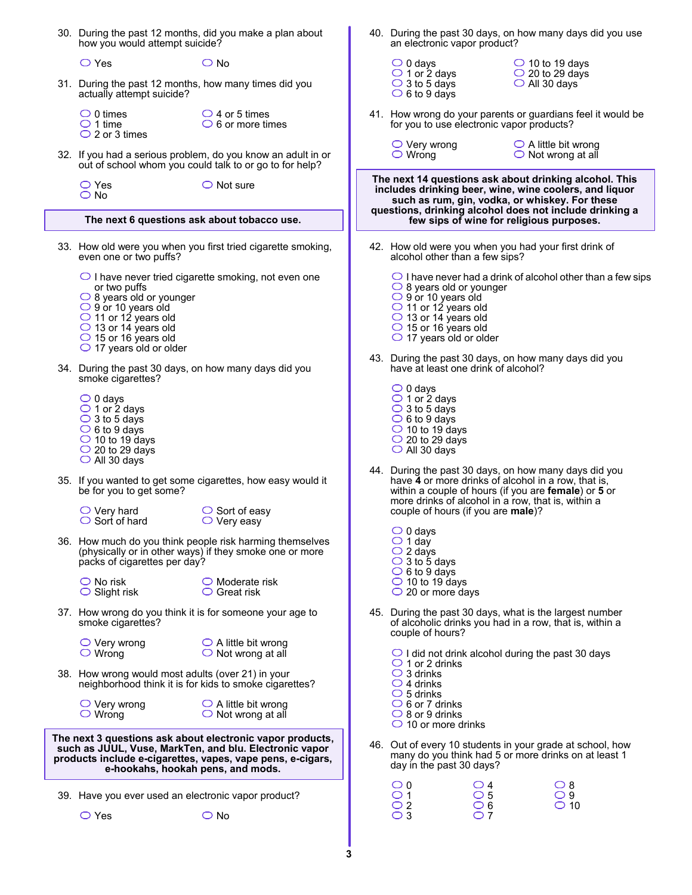|                                                                                                                                                                                                                        | 30. During the past 12 months, did you make a plan about<br>how you would attempt suicide?                                                                                                                               |                                                                                                                         |   | an electronic vapor product?                                                                                                                                                                             |                                                              | 40. During the past 30 days, on how many days did you use                                                                                                                                                                  |  |  |  |
|------------------------------------------------------------------------------------------------------------------------------------------------------------------------------------------------------------------------|--------------------------------------------------------------------------------------------------------------------------------------------------------------------------------------------------------------------------|-------------------------------------------------------------------------------------------------------------------------|---|----------------------------------------------------------------------------------------------------------------------------------------------------------------------------------------------------------|--------------------------------------------------------------|----------------------------------------------------------------------------------------------------------------------------------------------------------------------------------------------------------------------------|--|--|--|
|                                                                                                                                                                                                                        | $\bigcirc$ Yes<br>31. During the past 12 months, how many times did you<br>actually attempt suicide?                                                                                                                     | $\bigcirc$ No                                                                                                           |   | $\bigcirc$ 0 days<br>$\bigcirc$ 1 or 2 days<br>$\bigcirc$ 3 to 5 days<br>$\circ$ 6 to 9 days                                                                                                             |                                                              | $\bigcirc$ 10 to 19 days<br>$\bigcirc$ 20 to 29 days<br>$\circ$ All 30 days                                                                                                                                                |  |  |  |
|                                                                                                                                                                                                                        | $\circ$ 0 times<br>$\bigcirc$ 1 time<br>$\bigcirc$ 2 or 3 times                                                                                                                                                          | $\bigcirc$ 4 or 5 times<br>$\circ$ 6 or more times                                                                      |   | for you to use electronic vapor products?                                                                                                                                                                |                                                              | 41. How wrong do your parents or guardians feel it would be                                                                                                                                                                |  |  |  |
|                                                                                                                                                                                                                        |                                                                                                                                                                                                                          | 32. If you had a serious problem, do you know an adult in or<br>out of school whom you could talk to or go to for help? |   | $\bigcirc$ Very wrong<br>$\bigcirc$ Wrong                                                                                                                                                                | $\bigcirc$ A little bit wrong<br>$\bigcirc$ Not wrong at all |                                                                                                                                                                                                                            |  |  |  |
|                                                                                                                                                                                                                        | $\bigcirc$ Yes<br>$\bigcirc$ No                                                                                                                                                                                          | $\bigcirc$ Not sure                                                                                                     |   |                                                                                                                                                                                                          |                                                              | The next 14 questions ask about drinking alcohol. This<br>includes drinking beer, wine, wine coolers, and liquor<br>such as rum, gin, vodka, or whiskey. For these                                                         |  |  |  |
|                                                                                                                                                                                                                        | The next 6 questions ask about tobacco use.                                                                                                                                                                              |                                                                                                                         |   |                                                                                                                                                                                                          |                                                              | questions, drinking alcohol does not include drinking a<br>few sips of wine for religious purposes.                                                                                                                        |  |  |  |
|                                                                                                                                                                                                                        | 33. How old were you when you first tried cigarette smoking,<br>even one or two puffs?                                                                                                                                   | 42. How old were you when you had your first drink of<br>alcohol other than a few sips?                                 |   |                                                                                                                                                                                                          |                                                              |                                                                                                                                                                                                                            |  |  |  |
|                                                                                                                                                                                                                        | or two puffs<br>$\bigcirc$ 8 years old or younger<br>$\bigcirc$ 9 or 10 years old<br>$\bigcirc$ 11 or 12 years old<br>$\bigcirc$ 13 or 14 years old<br>$\bigcirc$ 15 or 16 years old<br>$\bigcirc$ 17 years old or older | $\bigcirc$ I have never tried cigarette smoking, not even one                                                           |   | $\bigcirc$ 8 years old or younger<br>$\bigcirc$ 9 or 10 years old<br>$\bigcirc$ 11 or 12 years old<br>$\bigcirc$ 13 or 14 years old<br>$\bigcirc$ 15 or 16 years old<br>$\bigcirc$ 17 years old or older |                                                              | $\bigcirc$ I have never had a drink of alcohol other than a few sips                                                                                                                                                       |  |  |  |
|                                                                                                                                                                                                                        | 34. During the past 30 days, on how many days did you<br>smoke cigarettes?                                                                                                                                               |                                                                                                                         |   | have at least one drink of alcohol?                                                                                                                                                                      |                                                              | 43. During the past 30 days, on how many days did you                                                                                                                                                                      |  |  |  |
|                                                                                                                                                                                                                        | $\bigcirc$ 0 days<br>$\bigcirc$ 1 or 2 days<br>$\bigcirc$ 3 to 5 days<br>$\bigcirc$ 6 to 9 days<br>$\bigcirc$ 10 to 19 days<br>$\bigcirc$ 20 to 29 days<br>$\bigcirc$ All 30 days                                        |                                                                                                                         |   | $\bigcirc$ 0 days<br>$\bigcirc$ 1 or 2 days<br>$\bigcirc$ 3 to 5 days<br>$\circ$ 6 to 9 days<br>$\bigcirc$ 10 to 19 days<br>$\bigcirc$ 20 to 29 days<br>$\bigcirc$ All 30 days                           |                                                              |                                                                                                                                                                                                                            |  |  |  |
|                                                                                                                                                                                                                        | be for you to get some?                                                                                                                                                                                                  | 35. If you wanted to get some cigarettes, how easy would it                                                             |   |                                                                                                                                                                                                          |                                                              | 44. During the past 30 days, on how many days did you<br>have 4 or more drinks of alcohol in a row, that is,<br>within a couple of hours (if you are female) or 5 or<br>more drinks of alcohol in a row, that is, within a |  |  |  |
|                                                                                                                                                                                                                        | $\bigcirc$ Very hard<br>$\circ$ Sort of hard                                                                                                                                                                             | $\circ$ Sort of easy<br>$\bigcirc$ Very easy                                                                            |   | couple of hours (if you are male)?                                                                                                                                                                       |                                                              |                                                                                                                                                                                                                            |  |  |  |
|                                                                                                                                                                                                                        | packs of cigarettes per day?                                                                                                                                                                                             | 36. How much do you think people risk harming themselves<br>(physically or in other ways) if they smoke one or more     |   | $\bigcirc$ 0 days<br>$\bigcirc$ 1 day<br>$\bigcirc$ 2 days<br>$\bigcirc$ 3 to 5 days<br>$\bigcirc$ 6 to 9 days                                                                                           |                                                              |                                                                                                                                                                                                                            |  |  |  |
|                                                                                                                                                                                                                        | $\bigcirc$ No risk<br>$\bigcirc$ Slight risk                                                                                                                                                                             | $\bigcirc$ Moderate risk<br>$\bigcirc$ Great risk                                                                       |   | $\bigcirc$ 10 to 19 days<br>$\bigcirc$ 20 or more days                                                                                                                                                   |                                                              |                                                                                                                                                                                                                            |  |  |  |
|                                                                                                                                                                                                                        | smoke cigarettes?                                                                                                                                                                                                        | 37. How wrong do you think it is for someone your age to                                                                |   | couple of hours?                                                                                                                                                                                         |                                                              | 45. During the past 30 days, what is the largest number<br>of alcoholic drinks you had in a row, that is, within a                                                                                                         |  |  |  |
|                                                                                                                                                                                                                        | $\bigcirc$ Very wrong<br>$\bigcirc$ Wrong                                                                                                                                                                                | $\bigcirc$ A little bit wrong<br>$\bigcirc$ Not wrong at all                                                            |   | $\bigcirc$ 1 or 2 drinks                                                                                                                                                                                 |                                                              | $\bigcirc$ I did not drink alcohol during the past 30 days                                                                                                                                                                 |  |  |  |
|                                                                                                                                                                                                                        | 38. How wrong would most adults (over 21) in your                                                                                                                                                                        | neighborhood think it is for kids to smoke cigarettes?                                                                  |   | $\bigcirc$ 3 drinks<br>$\bigcirc$ 4 drinks<br>$\circ$ 5 drinks                                                                                                                                           |                                                              |                                                                                                                                                                                                                            |  |  |  |
|                                                                                                                                                                                                                        | $\bigcirc$ Very wrong<br>$\circ$ Wrong                                                                                                                                                                                   | $\bigcirc$ A little bit wrong<br>$\bigcirc$ Not wrong at all                                                            |   | $\bigcirc$ 6 or 7 drinks<br>$\bigcirc$ 8 or 9 drinks<br>$\bigcirc$ 10 or more drinks                                                                                                                     |                                                              |                                                                                                                                                                                                                            |  |  |  |
| The next 3 questions ask about electronic vapor products,<br>such as JUUL, Vuse, MarkTen, and blu. Electronic vapor<br>products include e-cigarettes, vapes, vape pens, e-cigars,<br>e-hookahs, hookah pens, and mods. |                                                                                                                                                                                                                          |                                                                                                                         |   | day in the past 30 days?                                                                                                                                                                                 |                                                              | 46. Out of every 10 students in your grade at school, how<br>many do you think had 5 or more drinks on at least 1                                                                                                          |  |  |  |
|                                                                                                                                                                                                                        | 39. Have you ever used an electronic vapor product?                                                                                                                                                                      |                                                                                                                         |   | $\circ$ 0<br>$\bigcirc$ 1                                                                                                                                                                                | $\circ$ 4<br>$\circ$ 5                                       | $\circ$ 8<br>$\bigcirc$ 9                                                                                                                                                                                                  |  |  |  |
|                                                                                                                                                                                                                        | $\bigcirc$ Yes                                                                                                                                                                                                           | $\bigcirc$ No                                                                                                           |   | $\bigcirc$ 2<br>$\bigcirc$ 3                                                                                                                                                                             | $\bigcirc$ 6<br>$\overline{\bigcirc}$ 7                      | $\bigcirc$ 10                                                                                                                                                                                                              |  |  |  |
|                                                                                                                                                                                                                        |                                                                                                                                                                                                                          |                                                                                                                         | 3 |                                                                                                                                                                                                          |                                                              |                                                                                                                                                                                                                            |  |  |  |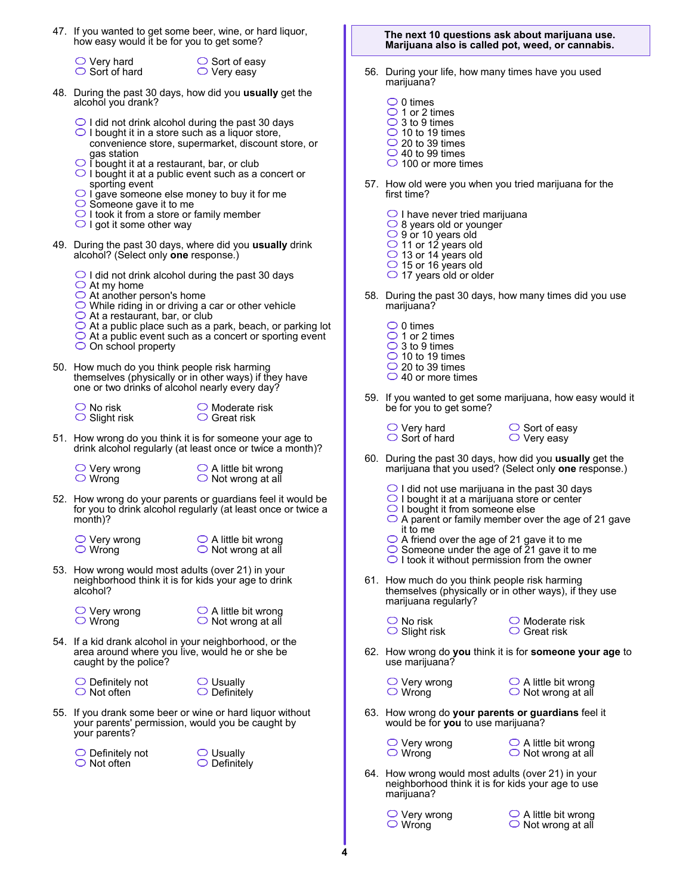- 47. If you wanted to get some beer, wine, or hard liquor, how easy would it be for you to get some?
	- $\bigcirc$  Very hard  $\bigcirc$  Sort of hard

 $\bigcirc$  Sort of easy  $\bigcirc$  Very easy

- 48. During the past 30 days, how did you **usually** get the alcohol you drank?
	- $\bigcirc$  I did not drink alcohol during the past 30 days
	- $\bigcirc$  I bought it in a store such as a liquor store, convenience store, supermarket, discount store, or gas station
	- $\bigcirc$  i bought it at a restaurant, bar, or club
	- $\bigcirc$  I bought it at a public event such as a concert or sporting event
	- $\bigcirc$  I gave someone else money to buy it for me
	- $\bigcirc$  Someone gave it to me
	- $\bigcirc$  I took it from a store or family member
	- $\bigcirc$  I got it some other way
- 49. During the past 30 days, where did you **usually** drink alcohol? (Select only **one** response.)
	- $\bigcirc$  I did not drink alcohol during the past 30 days
	- $\bigcirc$  At my home
	- $\bigcirc$  At another person's home
	- $\bigcirc$  While riding in or driving a car or other vehicle
	- $\bigcirc$  At a restaurant, bar, or club
	- $\bigcirc$  At a public place such as a park, beach, or parking lot
	- $\bigcirc$  At a public event such as a concert or sporting event  $\bigcirc$  On school property

 50. How much do you think people risk harming themselves (physically or in other ways) if they have one or two drinks of alcohol nearly every day?

 $\bigcirc$  No risk  $\bigcirc$  Slight risk

| $\bigcirc$ Moderate risk |
|--------------------------|
| $\bigcirc$ Great risk    |

- 51. How wrong do you think it is for someone your age to drink alcohol regularly (at least once or twice a month)?
	- $\bigcirc$  Very wrong Wrong

 $\bigcirc$  A little bit wrong  $\bigcirc$  Not wrong at all

- 52. How wrong do your parents or guardians feel it would be for you to drink alcohol regularly (at least once or twice a month)?
	- $\bigcirc$  Very wrong Wrong

 $\bigcirc$  A little bit wrong  $\bigcirc$  Not wrong at all

- 53. How wrong would most adults (over 21) in your neighborhood think it is for kids your age to drink alcohol?
	- $\bigcirc$  Very wrong Wrong

 $\bigcirc$  A little bit wrong  $\bigcirc$  Not wrong at all

 54. If a kid drank alcohol in your neighborhood, or the area around where you live, would he or she be caught by the police?

 $\bigcirc$  Definitely not  $\bigcirc$  Not often

Usually  $\bigcirc$  Definitely

 55. If you drank some beer or wine or hard liquor without your parents' permission, would you be caught by your parents?

 $\bigcirc$  Definitely not  $\bigcirc$  Not often



**The next 10 questions ask about marijuana use. Marijuana also is called pot, weed, or cannabis.**

- 56. During your life, how many times have you used marijuana?
	- $\circ$  0 times  $\bigcirc$  1 or 2 times  $\bigcirc$  3 to 9 times
	- $\bigcirc$  10 to 19 times
	- $\bigcirc$  20 to 39 times
	- $\overline{\bigcirc}$  40 to 99 times
	- $\bigcirc$  100 or more times
- 57. How old were you when you tried marijuana for the first time?
	- $\bigcirc$  I have never tried marijuana
	- $\bigcirc$  8 years old or younger
	- 9 or 10 years old
	- 11 or 12 years old
	- 13 or 14 years old
	- $\bigcirc$  15 or 16 years old
	- $\bigcirc$  17 years old or older
- 58. During the past 30 days, how many times did you use marijuana?
	- $\circ$  0 times  $\bigcirc$  1 or 2 times  $\bigcirc$  3 to 9 times  $\overline{\bigcirc}$  10 to 19 times
	- $\bigcirc$  20 to 39 times
	- ◯ 40 or more times
- 59. If you wanted to get some marijuana, how easy would it be for you to get some?
	- $\bigcirc$  Very hard  $\bigcirc$  Sort of hard
- $\bigcirc$  Sort of easy  $\bigcirc$  Very easy
- 60. During the past 30 days, how did you **usually** get the marijuana that you used? (Select only **one** response.)
	- $\bigcirc$  I did not use marijuana in the past 30 days
	- $\bigcirc$  I bought it at a marijuana store or center
	- $\bigcirc$  I bought it from someone else
	- $\bigcirc$  A parent or family member over the age of 21 gave it to me
	- A friend over the age of 21 gave it to me
	- Someone under the age of 21 gave it to me
	- $\bigcirc$  I took it without permission from the owner
- 61. How much do you think people risk harming themselves (physically or in other ways), if they use marijuana regularly?
	- $\bigcirc$  No risk  $\bigcirc$  Slight risk
- $\bigcirc$  Moderate risk  $\bigcirc$  Great risk
- 62. How wrong do **you** think it is for **someone your age** to use marijuana?
	- $\bigcirc$  Very wrong  $\bigcirc$  Wrong
- $\bigcirc$  A little bit wrong  $\bigcirc$  Not wrong at all
- 63. How wrong do **your parents or guardians** feel it would be for **you** to use marijuana?
	- $\bigcirc$  Very wrong  $\bigcirc$  Wrong
- $\bigcirc$  A little bit wrong  $\bigcirc$  Not wrong at all
- 64. How wrong would most adults (over 21) in your neighborhood think it is for kids your age to use marijuana?

 $\bigcirc$  Very wrong Wrong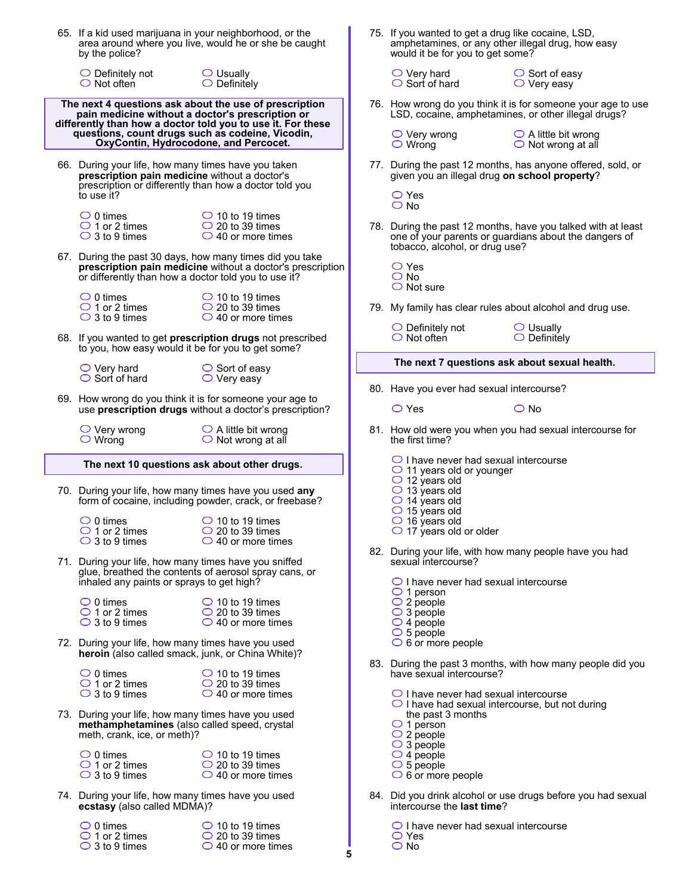|                                                                                                                                                                           | 65. If a kid used marijuana in your neighborhood, or the<br>by the police?                                                                                                   | area around where you live, would he or she be caught                                                                  | 75. If you wanted to get a drug like cocaine, LSD,<br>amphetamines, or any other illegal drug, how easy<br>would it be for you to get some?                              |  |
|---------------------------------------------------------------------------------------------------------------------------------------------------------------------------|------------------------------------------------------------------------------------------------------------------------------------------------------------------------------|------------------------------------------------------------------------------------------------------------------------|--------------------------------------------------------------------------------------------------------------------------------------------------------------------------|--|
|                                                                                                                                                                           | $\bigcirc$ Definitely not<br>$\bigcirc$ Not often                                                                                                                            | $\bigcirc$ Usually<br>$\bigcirc$ Definitely                                                                            | $\bigcirc$ Very hard<br>$\circ$ Sort of easy<br>$\bigcirc$ Sort of hard<br>$\bigcirc$ Very easy                                                                          |  |
| The next 4 questions ask about the use of prescription<br>pain medicine without a doctor's prescription or<br>differently than how a doctor told you to use it. For these |                                                                                                                                                                              |                                                                                                                        | 76. How wrong do you think it is for someone your age to use<br>LSD, cocaine, amphetamines, or other illegal drugs?                                                      |  |
|                                                                                                                                                                           | questions, count drugs such as codeine, Vicodin,<br>OxyContin, Hydrocodone, and Percocet.                                                                                    |                                                                                                                        | $\bigcirc$ A little bit wrong<br>$\bigcirc$ Very wrong<br>$\bigcirc$ Wrong<br>$\bigcirc$ Not wrong at all                                                                |  |
|                                                                                                                                                                           | 66. During your life, how many times have you taken<br>prescription pain medicine without a doctor's<br>prescription or differently than how a doctor told you<br>to use it? |                                                                                                                        | 77. During the past 12 months, has anyone offered, sold, or<br>given you an illegal drug on school property?<br>$\bigcirc$ Yes                                           |  |
|                                                                                                                                                                           | $\bigcirc$ 0 times<br>$\bigcirc$ 1 or 2 times<br>$\bigcirc$ 3 to 9 times                                                                                                     | $\bigcirc$ 10 to 19 times<br>$\bigcirc$ 20 to 39 times<br>$\bigcirc$ 40 or more times                                  | $\bigcirc$ No<br>78. During the past 12 months, have you talked with at least<br>one of your parents or guardians about the dangers of<br>tobacco, alcohol, or drug use? |  |
|                                                                                                                                                                           | or differently than how a doctor told you to use it?                                                                                                                         | 67. During the past 30 days, how many times did you take<br>prescription pain medicine without a doctor's prescription | $\bigcirc$ Yes<br>$\bigcirc$ No<br>$\bigcirc$ Not sure                                                                                                                   |  |
|                                                                                                                                                                           | $\bigcirc$ 0 times<br>$\bigcirc$ 1 or 2 times<br>$\bigcirc$ 3 to 9 times                                                                                                     | $\bigcirc$ 10 to 19 times<br>$\circ$ 20 to 39 times<br>$\bigcirc$ 40 or more times                                     | 79. My family has clear rules about alcohol and drug use.                                                                                                                |  |
|                                                                                                                                                                           | to you, how easy would it be for you to get some?                                                                                                                            | 68. If you wanted to get prescription drugs not prescribed                                                             | $\bigcirc$ Definitely not<br>$\bigcirc$ Usually<br>$\bigcirc$ Not often<br>$\bigcirc$ Definitely                                                                         |  |
|                                                                                                                                                                           | $\bigcirc$ Very hard                                                                                                                                                         | $\circ$ Sort of easy                                                                                                   | The next 7 questions ask about sexual health.                                                                                                                            |  |
|                                                                                                                                                                           | $\bigcirc$ Sort of hard<br>$\bigcirc$ Very easy<br>69. How wrong do you think it is for someone your age to                                                                  |                                                                                                                        | 80. Have you ever had sexual intercourse?                                                                                                                                |  |
|                                                                                                                                                                           |                                                                                                                                                                              | use prescription drugs without a doctor's prescription?                                                                | $\bigcirc$ Yes<br>$\bigcirc$ No                                                                                                                                          |  |
|                                                                                                                                                                           | $\bigcirc$ Very wrong<br>$\circ$ Wrong                                                                                                                                       | $\bigcirc$ A little bit wrong<br>$\bigcirc$ Not wrong at all                                                           | 81. How old were you when you had sexual intercourse for<br>the first time?                                                                                              |  |
| The next 10 questions ask about other drugs.                                                                                                                              |                                                                                                                                                                              |                                                                                                                        | $\bigcirc$ I have never had sexual intercourse<br>$\bigcirc$ 11 years old or younger                                                                                     |  |
|                                                                                                                                                                           | 70. During your life, how many times have you used any                                                                                                                       |                                                                                                                        | $\bigcirc$ 12 years old<br>$\bigcirc$ 13 years old                                                                                                                       |  |
|                                                                                                                                                                           |                                                                                                                                                                              | form of cocaine, including powder, crack, or freebase?                                                                 | $\bigcirc$ 14 years old                                                                                                                                                  |  |
|                                                                                                                                                                           | $\circ$ 0 times<br>$\bigcirc$ 1 or 2 times<br>$\bigcirc$ 3 to 9 times                                                                                                        | $\bigcirc$ 10 to 19 times<br>$\bigcirc$ 20 to 39 times<br>$\bigcirc$ 40 or more times                                  | $\bigcirc$ 15 years old<br>$\bigcirc$ 16 years old<br>$\bigcirc$ 17 years old or older                                                                                   |  |
|                                                                                                                                                                           | 71. During your life, how many times have you sniffed                                                                                                                        | glue, breathed the contents of aerosol spray cans, or                                                                  | 82. During your life, with how many people have you had<br>sexual intercourse?                                                                                           |  |
|                                                                                                                                                                           | inhaled any paints or sprays to get high?<br>$\bigcirc$ 0 times                                                                                                              |                                                                                                                        | $\bigcirc$ I have never had sexual intercourse<br>$\bigcirc$ 1 person                                                                                                    |  |
|                                                                                                                                                                           | $\bigcirc$ 1 or 2 times<br>$\bigcirc$ 3 to 9 times                                                                                                                           | $\bigcirc$ 10 to 19 times<br>$\bigcirc$ 20 to 39 times<br>$\bigcirc$ 40 or more times                                  | $\bigcirc$ 2 people<br>$\bigcirc$ 3 people<br>$\bigcirc$ 4 people                                                                                                        |  |
|                                                                                                                                                                           | 72. During your life, how many times have you used<br>heroin (also called smack, junk, or China White)?                                                                      |                                                                                                                        | $\bigcirc$ 5 people<br>$\circ$ 6 or more people                                                                                                                          |  |
|                                                                                                                                                                           | $\bigcirc$ 0 times<br>$\bigcirc$ 1 or 2 times<br>$\bigcirc$ 3 to 9 times                                                                                                     | $\bigcirc$ 10 to 19 times<br>$\bigcirc$ 20 to 39 times<br>$\bigcirc$ 40 or more times                                  | 83. During the past 3 months, with how many people did you<br>have sexual intercourse?<br>$\bigcirc$ I have never had sexual intercourse                                 |  |
|                                                                                                                                                                           | 73. During your life, how many times have you used<br>methamphetamines (also called speed, crystal<br>meth, crank, ice, or meth)?                                            |                                                                                                                        | $\bigcirc$ I have had sexual intercourse, but not during<br>the past 3 months<br>$\bigcirc$ 1 person<br>$\bigcirc$ 2 people                                              |  |
|                                                                                                                                                                           | $\bigcirc$ 0 times<br>$\bigcirc$ 1 or 2 times<br>$\bigcirc$ 3 to 9 times                                                                                                     | $\bigcirc$ 10 to 19 times<br>$\bigcirc$ 20 to 39 times<br>$\bigcirc$ 40 or more times                                  | $\bigcirc$ 3 people<br>$\bigcirc$ 4 people<br>$\bigcirc$ 5 people<br>$\circ$ 6 or more people                                                                            |  |
|                                                                                                                                                                           | 74. During your life, how many times have you used<br>ecstasy (also called MDMA)?                                                                                            |                                                                                                                        | 84. Did you drink alcohol or use drugs before you had sexual<br>intercourse the last time?                                                                               |  |

**5**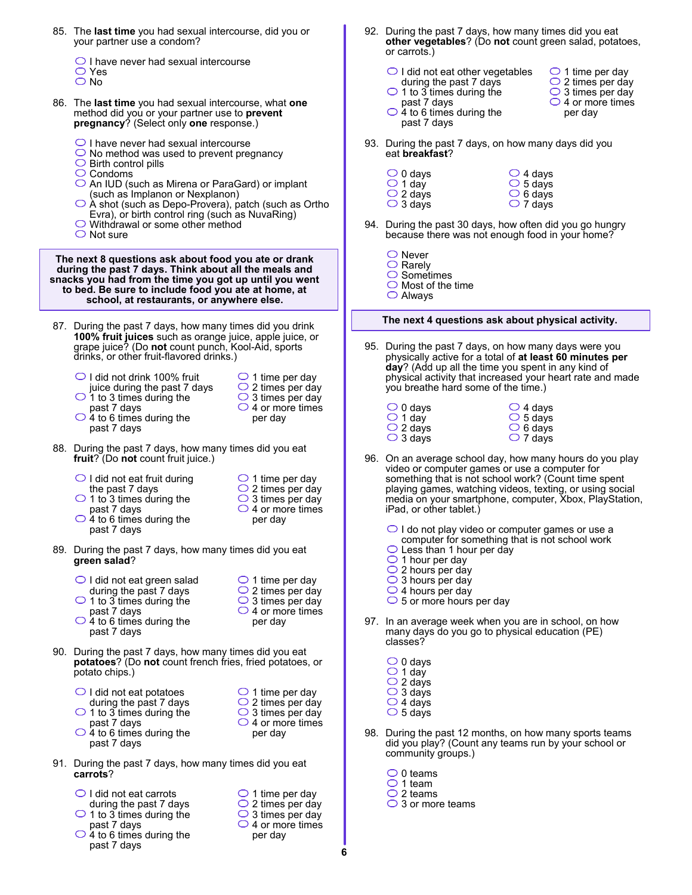- 85. The **last time** you had sexual intercourse, did you or your partner use a condom?
	- $\bigcirc$  I have never had sexual intercourse Yes
	- $\overline{\bigcirc}$  No
- 86. The **last time** you had sexual intercourse, what **one** method did you or your partner use to **prevent pregnancy**? (Select only **one** response.)
	- $\bigcirc$  I have never had sexual intercourse
	- $\bigcirc$  No method was used to prevent pregnancy
	- $\bigcirc$  Birth control pills
	- $\bigcirc$  Condoms
	- ◯ An IUD (such as Mirena or ParaGard) or implant (such as Implanon or Nexplanon)
	- $\bigcirc$  À shot (such as Depo-Provera), patch (such as Ortho Evra), or birth control ring (such as NuvaRing)
	- Withdrawal or some other method
	- $\bigcirc$  Not sure

**The next 8 questions ask about food you ate or drank during the past 7 days. Think about all the meals and snacks you had from the time you got up until you went to bed. Be sure to include food you ate at home, at school, at restaurants, or anywhere else.**

 87. During the past 7 days, how many times did you drink **100% fruit juices** such as orange juice, apple juice, or grape juice? (Do **not** count punch, Kool-Aid, sports drinks, or other fruit-flavored drinks.)

| $\bigcirc$ I did not drink 100% fruit<br>juice during the past 7 days<br>$\bigcirc$ 1 to 3 times during the<br>past 7 days<br>$\bigcirc$ 4 to 6 times during the<br>past 7 days | $\bigcirc$ 1 time per day<br>$\bigcirc$ 2 times per day<br>$\bigcirc$ 3 times per day<br>$\bigcirc$ 4 or more times<br>per day |
|---------------------------------------------------------------------------------------------------------------------------------------------------------------------------------|--------------------------------------------------------------------------------------------------------------------------------|
| During the post 7 days, how many times did you got                                                                                                                              |                                                                                                                                |

- 88. During the past 7 days, how many times did you eat **fruit**? (Do **not** count fruit juice.)
	- $\bigcirc$  I did not eat fruit during the past 7 days
	- $\bigcirc$  1 to 3 times during the past 7 days
	- $\bigcirc$  4 to 6 times during the past 7 days
- 89. During the past 7 days, how many times did you eat **green salad**?
	- $\bigcirc$  I did not eat green salad
	- during the past 7 days  $\bigcirc$  1 to 3 times during the
	- past 7 days
	- $\bigcirc$  4 to 6 times during the past 7 days
- $\bigcirc$  1 time per day  $\bigcirc$  2 times per day
- $\bigcirc$  3 times per day  $\bigcirc$  4 or more times
- 90. During the past 7 days, how many times did you eat **potatoes**? (Do **not** count french fries, fried potatoes, or potato chips.)
	- $\bigcirc$  I did not eat potatoes during the past 7 days  $\bigcirc$  1 to 3 times during the
	- past 7 days  $\bigcirc$  4 to 6 times during the past 7 days
- 91. During the past 7 days, how many times did you eat **carrots**?
	- $\bigcirc$  I did not eat carrots
	- during the past 7 days
	- $\bigcirc$  1 to 3 times during the past 7 days
	- $\bigcirc$  4 to 6 times during the past 7 days
- $\bigcirc$  1 time per day  $\bigcirc$  2 times per day  $\bigcirc$  3 times per day
- $\bigcirc$  4 or more times per day
- 92. During the past 7 days, how many times did you eat **other vegetables**? (Do **not** count green salad, potatoes, or carrots.)
	- $\bigcirc$  I did not eat other vegetables during the past 7 days
		- $\bigcirc$  2 times per day  $\bigcirc$  3 times per day
			- $\bigcirc$  4 or more times per day

 $\bigcirc$  1 time per day

past 7 days  $\bigcirc$  4 to 6 times during the past 7 days

eat **breakfast**?

 $\bigcirc$  1 to 3 times during the

- 93. During the past 7 days, on how many days did you
	- $\bigcirc$  0 days  $\bigcirc$  1 day  $\bigcirc$  2 days  $\bigcirc$  3 days  $\bigcirc$  4 days  $\overline{\bigcirc}$  5 days  $\overline{\bigcirc}$  6 days  $\bigcirc$  7 days
- 94. During the past 30 days, how often did you go hungry because there was not enough food in your home?
	- ◯ Never  $\bigcirc$  Rarely
	- $\bigcirc$  Sometimes
	- $\bigcirc$  Most of the time
	- Always

## **The next 4 questions ask about physical activity.**

- 95. During the past 7 days, on how many days were you physically active for a total of **at least 60 minutes per day**? (Add up all the time you spent in any kind of physical activity that increased your heart rate and made you breathe hard some of the time.)
	- $\overline{\bigcirc}$  6 days  $\bigcirc$  7 days  $\bigcirc$  0 days 1 day  $\bigcirc$  4 days  $\circ$  5 days 2 days  $\bigcirc$  3 days
- 96. On an average school day, how many hours do you play video or computer games or use a computer for something that is not school work? (Count time spent playing games, watching videos, texting, or using social media on your smartphone, computer, Xbox, PlayStation, iPad, or other tablet.)
	- $\bigcirc$  I do not play video or computer games or use a computer for something that is not school work
	- $\bigcirc$  Less than 1 hour per day
	- $\bigcirc$  1 hour per day
	- $\bigcirc$  2 hours per day
	- $\bigcirc$  3 hours per day
	- $\bigcirc$  4 hours per day
	- $\bigcirc$  5 or more hours per day
- 97. In an average week when you are in school, on how many days do you go to physical education (PE) classes?
	- $\bigcirc$  0 days  $\bigcirc$  1 day  $\bigcirc$  2 days 3 days 4 days  $\circ$  5 days
- 98. During the past 12 months, on how many sports teams did you play? (Count any teams run by your school or community groups.)
	- $\circ$  0 teams
	- $\bigcirc$  1 team
	- $\bigcirc$  2 teams
	- $\bigcirc$  3 or more teams
- 
- per day

 $\bigcirc$  1 time per day  $\bigcirc$  2 times per day  $\bigcirc$  3 times per day  $\bigcirc$  4 or more times per day

per day

 $\bigcirc$  1 time per day  $\bigcirc$  2 times per day  $\bigcirc$  3 times per day  $\bigcirc$  4 or more times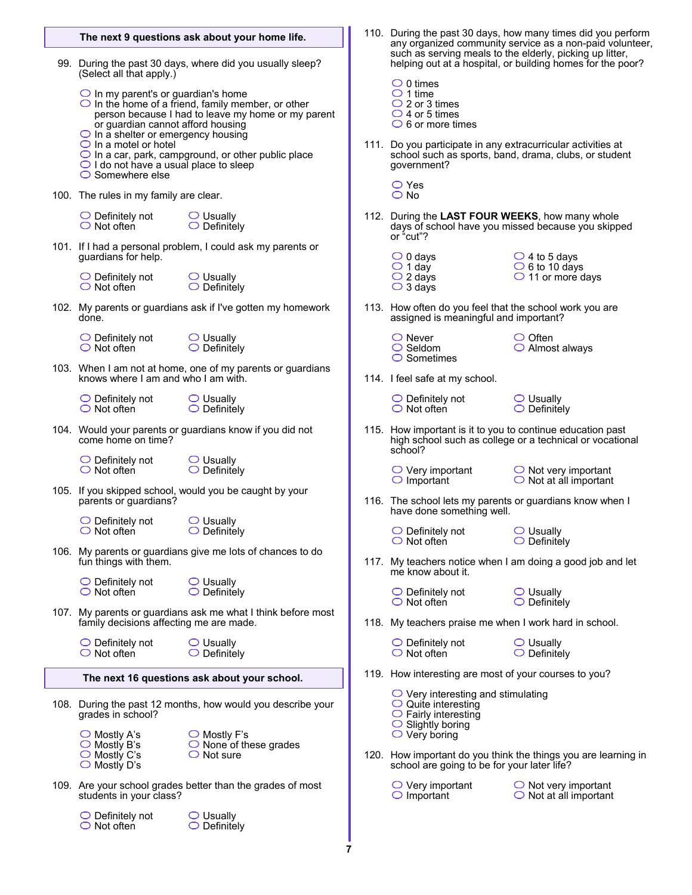|  | The next 9 questions ask about your home life.                                                                                                                                                                                                                                                                                                                                                                                           |                                                                                 |   |                                                                                                                                      | 110. During the past 30 days, how many times did you perform<br>any organized community service as a non-paid volunteer, |  |  |  |  |  |
|--|------------------------------------------------------------------------------------------------------------------------------------------------------------------------------------------------------------------------------------------------------------------------------------------------------------------------------------------------------------------------------------------------------------------------------------------|---------------------------------------------------------------------------------|---|--------------------------------------------------------------------------------------------------------------------------------------|--------------------------------------------------------------------------------------------------------------------------|--|--|--|--|--|
|  | 99. During the past 30 days, where did you usually sleep?<br>(Select all that apply.)                                                                                                                                                                                                                                                                                                                                                    |                                                                                 |   |                                                                                                                                      | such as serving meals to the elderly, picking up litter,<br>helping out at a hospital, or building homes for the poor?   |  |  |  |  |  |
|  | $\bigcirc$ In my parent's or guardian's home<br>$\bigcirc$ In the home of a friend, family member, or other<br>person because I had to leave my home or my parent<br>or guardian cannot afford housing<br>$\bigcirc$ In a shelter or emergency housing<br>$\bigcirc$ In a motel or hotel<br>$\bigcirc$ In a car, park, campground, or other public place<br>$\bigcirc$ I do not have a usual place to sleep<br>$\bigcirc$ Somewhere else |                                                                                 |   | $\bigcirc$ 0 times<br>$\bigcirc$ 1 time<br>$\bigcirc$ 2 or 3 times<br>$\bigcirc$ 4 or 5 times<br>$\bigcirc$ 6 or more times          |                                                                                                                          |  |  |  |  |  |
|  |                                                                                                                                                                                                                                                                                                                                                                                                                                          |                                                                                 |   | 111. Do you participate in any extracurricular activities at<br>school such as sports, band, drama, clubs, or student<br>government? |                                                                                                                          |  |  |  |  |  |
|  | 100. The rules in my family are clear.                                                                                                                                                                                                                                                                                                                                                                                                   |                                                                                 |   | $\bigcirc$ Yes<br>$\bigcirc$ No                                                                                                      |                                                                                                                          |  |  |  |  |  |
|  | $\bigcirc$ Definitely not $\bigcirc$ Usually<br>$\bigcirc$ Not often                                                                                                                                                                                                                                                                                                                                                                     | $\bigcirc$ Definitely                                                           |   | 112. During the LAST FOUR WEEKS, how many whole<br>or "cut"?                                                                         | days of school have you missed because you skipped                                                                       |  |  |  |  |  |
|  | guardians for help.                                                                                                                                                                                                                                                                                                                                                                                                                      | 101. If I had a personal problem, I could ask my parents or                     |   | $\bigcirc$ 0 days                                                                                                                    | $\bigcirc$ 4 to 5 days                                                                                                   |  |  |  |  |  |
|  | $\bigcirc$ Definitely not<br>$\bigcirc$ Not often                                                                                                                                                                                                                                                                                                                                                                                        | $\bigcirc$ Usually<br>$\bigcirc$ Definitely                                     |   | $\bigcirc$ 1 day<br>$\bigcirc$ 2 days<br>$\bigcirc$ 3 days                                                                           | $\circ$ 6 to 10 days<br>$\bigcirc$ 11 or more days                                                                       |  |  |  |  |  |
|  | done.                                                                                                                                                                                                                                                                                                                                                                                                                                    | 102. My parents or guardians ask if I've gotten my homework                     |   | 113. How often do you feel that the school work you are<br>assigned is meaningful and important?                                     |                                                                                                                          |  |  |  |  |  |
|  | $\bigcirc$ Definitely not<br>$\bigcirc$ Not often                                                                                                                                                                                                                                                                                                                                                                                        | $\bigcirc$ Usually<br>$\bigcirc$ Definitely                                     |   | $\bigcirc$ Never<br>$\bigcirc$ Seldom<br>$\circ$ Sometimes                                                                           | $\circ$ Often<br>$\bigcirc$ Almost always                                                                                |  |  |  |  |  |
|  | knows where I am and who I am with.                                                                                                                                                                                                                                                                                                                                                                                                      | 103. When I am not at home, one of my parents or guardians                      |   | 114. I feel safe at my school.                                                                                                       |                                                                                                                          |  |  |  |  |  |
|  | $\bigcirc$ Definitely not<br>$\bigcirc$ Not often                                                                                                                                                                                                                                                                                                                                                                                        | $\bigcirc$ Usually<br>$\bigcirc$ Definitely                                     |   | $\bigcirc$ Definitely not<br>$\bigcirc$ Not often                                                                                    | $\bigcirc$ Usually<br>$\bigcirc$ Definitely                                                                              |  |  |  |  |  |
|  | 104. Would your parents or guardians know if you did not<br>come home on time?                                                                                                                                                                                                                                                                                                                                                           |                                                                                 |   | 115. How important is it to you to continue education past<br>high school such as college or a technical or vocational<br>school?    |                                                                                                                          |  |  |  |  |  |
|  | $\bigcirc$ Definitely not<br>$\bigcirc$ Not often                                                                                                                                                                                                                                                                                                                                                                                        | $\bigcirc$ Usually<br>$\bigcirc$ Definitely                                     |   | $\bigcirc$ Very important<br>$\bigcirc$ Important                                                                                    | $\bigcirc$ Not very important<br>$\bigcirc$ Not at all important                                                         |  |  |  |  |  |
|  | parents or guardians?                                                                                                                                                                                                                                                                                                                                                                                                                    | 105. If you skipped school, would you be caught by your                         |   | have done something well.                                                                                                            | 116. The school lets my parents or guardians know when I                                                                 |  |  |  |  |  |
|  | $\bigcirc$ Definitely not<br>$\bigcirc$ Not often                                                                                                                                                                                                                                                                                                                                                                                        | $\bigcirc$ Usually<br>$\bigcirc$ Definitely                                     |   | ◯ Definitely not<br>◯ Usually<br>$\bigcirc$ Not often                                                                                | $\bigcirc$ Definitely                                                                                                    |  |  |  |  |  |
|  | fun things with them.                                                                                                                                                                                                                                                                                                                                                                                                                    | 106. My parents or guardians give me lots of chances to do                      |   | 117. My teachers notice when I am doing a good job and let<br>me know about it.                                                      |                                                                                                                          |  |  |  |  |  |
|  | $\bigcirc$ Definitely not<br>$\bigcirc$ Not often                                                                                                                                                                                                                                                                                                                                                                                        | $\bigcirc$ Usually<br>$\bigcirc$ Definitely                                     |   | $\bigcirc$ Definitely not<br>$\bigcirc$ Not often                                                                                    | $\bigcirc$ Usually<br>$\bigcirc$ Definitely                                                                              |  |  |  |  |  |
|  | 107. My parents or guardians ask me what I think before most<br>family decisions affecting me are made.                                                                                                                                                                                                                                                                                                                                  |                                                                                 |   | 118. My teachers praise me when I work hard in school.                                                                               |                                                                                                                          |  |  |  |  |  |
|  | $\bigcirc$ Definitely not<br>$\bigcirc$ Not often                                                                                                                                                                                                                                                                                                                                                                                        | $\bigcirc$ Usually<br>$\bigcirc$ Definitely                                     |   | $\bigcirc$ Definitely not<br>$\bigcirc$ Not often                                                                                    | $\bigcirc$ Usually<br>$\bigcirc$ Definitely                                                                              |  |  |  |  |  |
|  | The next 16 questions ask about your school.                                                                                                                                                                                                                                                                                                                                                                                             |                                                                                 |   | 119. How interesting are most of your courses to you?                                                                                |                                                                                                                          |  |  |  |  |  |
|  | 108. During the past 12 months, how would you describe your<br>grades in school?                                                                                                                                                                                                                                                                                                                                                         |                                                                                 |   | $\bigcirc$ Very interesting and stimulating<br>$\circ$ Quite interesting<br>$\circ$ Fairly interesting                               |                                                                                                                          |  |  |  |  |  |
|  | $\bigcirc$ Mostly A's<br>$\bigcirc$ Mostly B's<br>$\bigcirc$ Mostly C's                                                                                                                                                                                                                                                                                                                                                                  | $\bigcirc$ Mostly F's<br>$\bigcirc$ None of these grades<br>$\bigcirc$ Not sure |   | $\circ$ Slightly boring<br>$\bigcirc$ Very boring                                                                                    | 120. How important do you think the things you are learning in                                                           |  |  |  |  |  |
|  | $\bigcirc$ Mostly D's<br>students in your class?                                                                                                                                                                                                                                                                                                                                                                                         | 109. Are your school grades better than the grades of most                      |   | school are going to be for your later life?<br>$\bigcirc$ Very important<br>$\bigcirc$ Important                                     | $\bigcirc$ Not very important<br>$\bigcirc$ Not at all important                                                         |  |  |  |  |  |
|  | $\bigcirc$ Definitely not<br>$\bigcirc$ Not often                                                                                                                                                                                                                                                                                                                                                                                        | $\bigcirc$ Usually<br>$\bigcirc$ Definitely                                     |   |                                                                                                                                      |                                                                                                                          |  |  |  |  |  |
|  |                                                                                                                                                                                                                                                                                                                                                                                                                                          |                                                                                 | 7 |                                                                                                                                      |                                                                                                                          |  |  |  |  |  |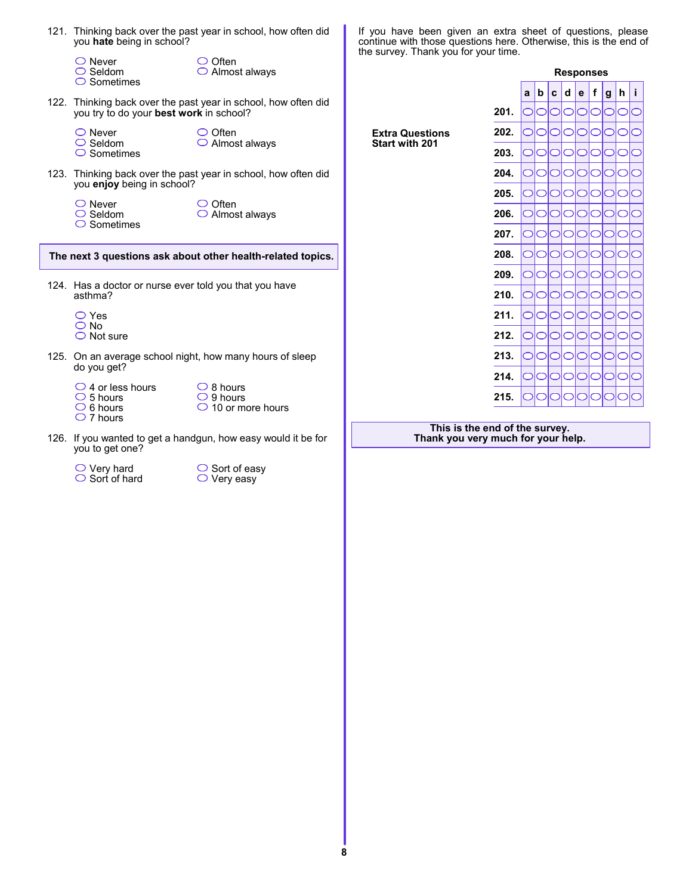|                                                             | 121. Thinking back over the past year in school, how often did<br>you hate being in school? |                                                                         | If you have been given an extra sheet of questions, please<br>continue with those questions here. Otherwise, this is the end of<br>the survey. Thank you for your time. |      |            |           |        |                             |     |    |    |
|-------------------------------------------------------------|---------------------------------------------------------------------------------------------|-------------------------------------------------------------------------|-------------------------------------------------------------------------------------------------------------------------------------------------------------------------|------|------------|-----------|--------|-----------------------------|-----|----|----|
|                                                             | $\bigcirc$ Never<br>$\bigcirc$ Seldom<br>$\bigcirc$ Sometimes                               | $\bigcirc$ Often<br>$\bigcirc$ Almost always                            |                                                                                                                                                                         |      |            |           |        | <b>Responses</b>            |     |    |    |
|                                                             |                                                                                             | 122. Thinking back over the past year in school, how often did          |                                                                                                                                                                         |      | a          | l b       | C      | $\mathbf{f}$<br>$d$ $e$ $ $ | l g | h. | j. |
|                                                             | you try to do your best work in school?                                                     |                                                                         |                                                                                                                                                                         | 201. |            |           |        |                             |     |    |    |
|                                                             | $\bigcirc$ Never<br>$\bigcirc$ Seldom<br>$\bigcirc$ Sometimes                               | $\bigcirc$ Often<br>$\bigcirc$ Almost always                            | <b>Extra Questions</b><br>Start with 201                                                                                                                                | 202. |            |           |        |                             |     |    |    |
|                                                             |                                                                                             |                                                                         |                                                                                                                                                                         | 203. |            |           |        |                             |     |    |    |
|                                                             | you enjoy being in school?                                                                  | 123. Thinking back over the past year in school, how often did          |                                                                                                                                                                         | 204. |            | lO<br>IOI |        |                             |     |    |    |
|                                                             |                                                                                             | $\circ$ Often                                                           |                                                                                                                                                                         | 205. | $\bigcirc$ |           | O      | OIO                         |     |    |    |
|                                                             | $\bigcirc$ Never<br>$\bigcirc$ Seldom<br>$\bigcirc$ Sometimes                               | $\bigcirc$ Almost always                                                |                                                                                                                                                                         | 206. | OIO        | lO        |        | lO<br>OIO                   |     |    |    |
|                                                             |                                                                                             |                                                                         |                                                                                                                                                                         | 207. | $\bigcirc$ | lO        |        | IO<br>OIO                   | ⌒   | ⌒  |    |
| The next 3 questions ask about other health-related topics. |                                                                                             |                                                                         | 208.                                                                                                                                                                    |      |            |           |        |                             |     |    |    |
|                                                             |                                                                                             |                                                                         |                                                                                                                                                                         | 209. | OIO        |           | O<br>◯ |                             |     |    |    |
|                                                             | 124. Has a doctor or nurse ever told you that you have<br>asthma?                           |                                                                         |                                                                                                                                                                         | 210. |            |           |        |                             |     |    |    |
|                                                             | $\bigcirc$ Yes                                                                              |                                                                         |                                                                                                                                                                         | 211. | OIOI       | IO        |        | റിറ                         |     |    |    |
|                                                             | $\bigcirc$ No<br>$\bigcirc$ Not sure                                                        |                                                                         |                                                                                                                                                                         | 212. |            |           |        |                             |     |    |    |
|                                                             | do you get?                                                                                 | 125. On an average school night, how many hours of sleep                |                                                                                                                                                                         | 213. |            |           |        |                             |     |    |    |
|                                                             |                                                                                             |                                                                         |                                                                                                                                                                         | 214. | OIO        |           | ◯<br>◯ | ⊂                           |     |    |    |
|                                                             | $\bigcirc$ 4 or less hours<br>$\circ$ 5 hours<br>$\bigcirc$ 6 hours<br>$\bigcirc$ 7 hours   | $\bigcirc$ 8 hours<br>$\bigcirc$ 9 hours<br>$\bigcirc$ 10 or more hours |                                                                                                                                                                         | 215. |            |           |        |                             |     |    |    |
|                                                             | you to get one?                                                                             | 126. If you wanted to get a handgun, how easy would it be for           | This is the end of the survey.<br>Thank you very much for your help.                                                                                                    |      |            |           |        |                             |     |    |    |

Very hard Sort of hard

ſ

Sort of easy Very easy